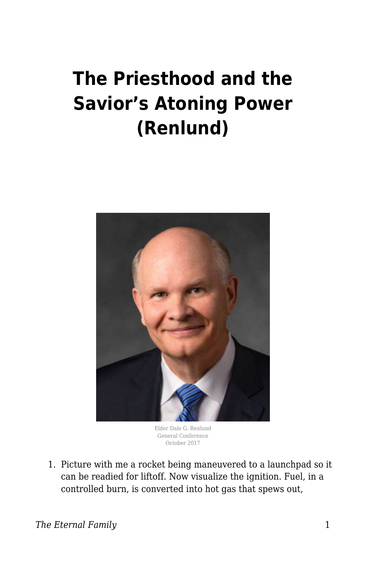## **The Priesthood and the Savior's Atoning Power (Renlund)**



Elder Dale G. Renlund General Conference October 2017

1. Picture with me a rocket being maneuvered to a launchpad so it can be readied for liftoff. Now visualize the ignition. Fuel, in a controlled burn, is converted into hot gas that spews out,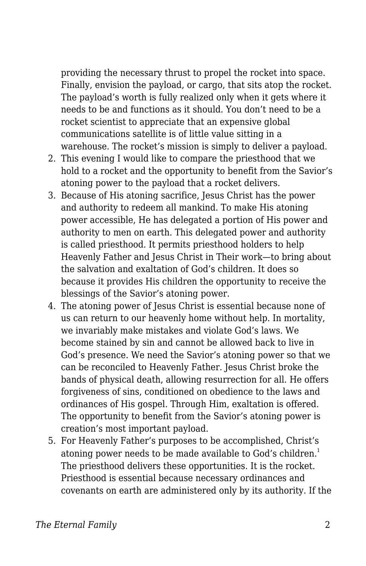providing the necessary thrust to propel the rocket into space. Finally, envision the payload, or cargo, that sits atop the rocket. The payload's worth is fully realized only when it gets where it needs to be and functions as it should. You don't need to be a rocket scientist to appreciate that an expensive global communications satellite is of little value sitting in a warehouse. The rocket's mission is simply to deliver a payload.

- 2. This evening I would like to compare the priesthood that we hold to a rocket and the opportunity to benefit from the Savior's atoning power to the payload that a rocket delivers.
- 3. Because of His atoning sacrifice, Jesus Christ has the power and authority to redeem all mankind. To make His atoning power accessible, He has delegated a portion of His power and authority to men on earth. This delegated power and authority is called priesthood. It permits priesthood holders to help Heavenly Father and Jesus Christ in Their work—to bring about the salvation and exaltation of God's children. It does so because it provides His children the opportunity to receive the blessings of the Savior's atoning power.
- 4. The atoning power of Jesus Christ is essential because none of us can return to our heavenly home without help. In mortality, we invariably make mistakes and violate God's laws. We become stained by sin and cannot be allowed back to live in God's presence. We need the Savior's atoning power so that we can be reconciled to Heavenly Father. Jesus Christ broke the bands of physical death, allowing resurrection for all. He offers forgiveness of sins, conditioned on obedience to the laws and ordinances of His gospel. Through Him, exaltation is offered. The opportunity to benefit from the Savior's atoning power is creation's most important payload.
- 5. For Heavenly Father's purposes to be accomplished, Christ's atoning power needs to be made available to God's children.<sup>1</sup> The priesthood delivers these opportunities. It is the rocket. Priesthood is essential because necessary ordinances and covenants on earth are administered only by its authority. If the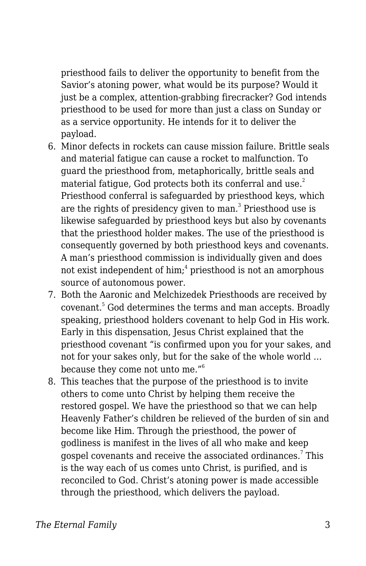priesthood fails to deliver the opportunity to benefit from the Savior's atoning power, what would be its purpose? Would it just be a complex, attention-grabbing firecracker? God intends priesthood to be used for more than just a class on Sunday or as a service opportunity. He intends for it to deliver the payload.

- 6. Minor defects in rockets can cause mission failure. Brittle seals and material fatigue can cause a rocket to malfunction. To guard the priesthood from, metaphorically, brittle seals and material fatigue, God protects both its conferral and use.<sup>2</sup> Priesthood conferral is safeguarded by priesthood keys, which are the rights of presidency given to man. $^3$  Priesthood use is likewise safeguarded by priesthood keys but also by covenants that the priesthood holder makes. The use of the priesthood is consequently governed by both priesthood keys and covenants. A man's priesthood commission is individually given and does not exist independent of him; $^{\rm 4}$  priesthood is not an amorphous source of autonomous power.
- 7. Both the Aaronic and Melchizedek Priesthoods are received by covenant.<sup>5</sup> God determines the terms and man accepts. Broadly speaking, priesthood holders covenant to help God in His work. Early in this dispensation, Jesus Christ explained that the priesthood covenant "is confirmed upon you for your sakes, and not for your sakes only, but for the sake of the whole world … because they come not unto me."<sup>6</sup>
- 8. This teaches that the purpose of the priesthood is to invite others to come unto Christ by helping them receive the restored gospel. We have the priesthood so that we can help Heavenly Father's children be relieved of the burden of sin and become like Him. Through the priesthood, the power of godliness is manifest in the lives of all who make and keep gospel covenants and receive the associated ordinances. $^7$  This is the way each of us comes unto Christ, is purified, and is reconciled to God. Christ's atoning power is made accessible through the priesthood, which delivers the payload.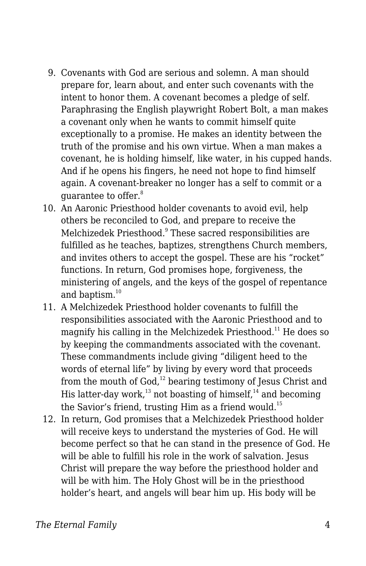- 9. Covenants with God are serious and solemn. A man should prepare for, learn about, and enter such covenants with the intent to honor them. A covenant becomes a pledge of self. Paraphrasing the English playwright Robert Bolt, a man makes a covenant only when he wants to commit himself quite exceptionally to a promise. He makes an identity between the truth of the promise and his own virtue. When a man makes a covenant, he is holding himself, like water, in his cupped hands. And if he opens his fingers, he need not hope to find himself again. A covenant-breaker no longer has a self to commit or a guarantee to offer.<sup>8</sup>
- 10. An Aaronic Priesthood holder covenants to avoid evil, help others be reconciled to God, and prepare to receive the Melchizedek Priesthood.<sup>9</sup> These sacred responsibilities are fulfilled as he teaches, baptizes, strengthens Church members, and invites others to accept the gospel. These are his "rocket" functions. In return, God promises hope, forgiveness, the ministering of angels, and the keys of the gospel of repentance and baptism.<sup>10</sup>
- 11. A Melchizedek Priesthood holder covenants to fulfill the responsibilities associated with the Aaronic Priesthood and to magnify his calling in the Melchizedek Priesthood.<sup>11</sup> He does so by keeping the commandments associated with the covenant. These commandments include giving "diligent heed to the words of eternal life" by living by every word that proceeds from the mouth of  $God<sub>1</sub><sup>12</sup>$  bearing testimony of Jesus Christ and His latter-day work, $13$  not boasting of himself, $14$  and becoming the Savior's friend, trusting Him as a friend would.<sup>15</sup>
- 12. In return, God promises that a Melchizedek Priesthood holder will receive keys to understand the mysteries of God. He will become perfect so that he can stand in the presence of God. He will be able to fulfill his role in the work of salvation. Jesus Christ will prepare the way before the priesthood holder and will be with him. The Holy Ghost will be in the priesthood holder's heart, and angels will bear him up. His body will be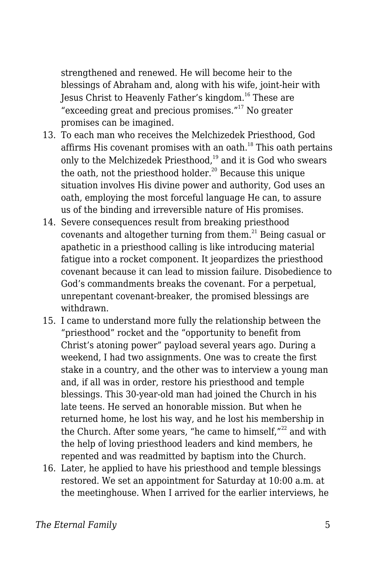strengthened and renewed. He will become heir to the blessings of Abraham and, along with his wife, joint-heir with Jesus Christ to Heavenly Father's kingdom.<sup>16</sup> These are "exceeding great and precious promises." $17$  No greater promises can be imagined.

- 13. To each man who receives the Melchizedek Priesthood, God affirms His covenant promises with an oath. $18$  This oath pertains only to the Melchizedek Priesthood, $19$  and it is God who swears the oath, not the priesthood holder.<sup>20</sup> Because this unique situation involves His divine power and authority, God uses an oath, employing the most forceful language He can, to assure us of the binding and irreversible nature of His promises.
- 14. Severe consequences result from breaking priesthood covenants and altogether turning from them.<sup>21</sup> Being casual or apathetic in a priesthood calling is like introducing material fatigue into a rocket component. It jeopardizes the priesthood covenant because it can lead to mission failure. Disobedience to God's commandments breaks the covenant. For a perpetual, unrepentant covenant-breaker, the promised blessings are withdrawn.
- 15. I came to understand more fully the relationship between the "priesthood" rocket and the "opportunity to benefit from Christ's atoning power" payload several years ago. During a weekend, I had two assignments. One was to create the first stake in a country, and the other was to interview a young man and, if all was in order, restore his priesthood and temple blessings. This 30-year-old man had joined the Church in his late teens. He served an honorable mission. But when he returned home, he lost his way, and he lost his membership in the Church. After some years, "he came to himself, $"^{22}$  and with the help of loving priesthood leaders and kind members, he repented and was readmitted by baptism into the Church.
- 16. Later, he applied to have his priesthood and temple blessings restored. We set an appointment for Saturday at 10:00 a.m. at the meetinghouse. When I arrived for the earlier interviews, he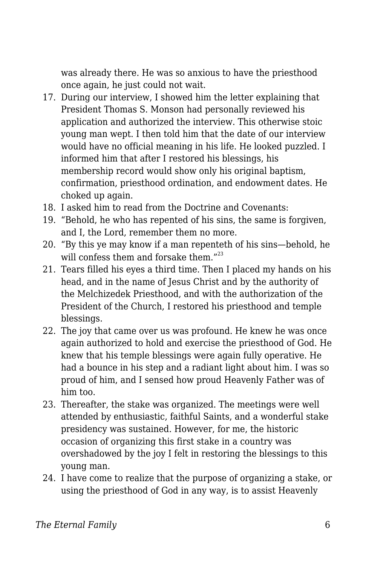was already there. He was so anxious to have the priesthood once again, he just could not wait.

- 17. During our interview, I showed him the letter explaining that President Thomas S. Monson had personally reviewed his application and authorized the interview. This otherwise stoic young man wept. I then told him that the date of our interview would have no official meaning in his life. He looked puzzled. I informed him that after I restored his blessings, his membership record would show only his original baptism, confirmation, priesthood ordination, and endowment dates. He choked up again.
- 18. I asked him to read from the Doctrine and Covenants:
- 19. "Behold, he who has repented of his sins, the same is forgiven, and I, the Lord, remember them no more.
- 20. "By this ye may know if a man repenteth of his sins—behold, he will confess them and forsake them."<sup>23</sup>
- 21. Tears filled his eyes a third time. Then I placed my hands on his head, and in the name of Jesus Christ and by the authority of the Melchizedek Priesthood, and with the authorization of the President of the Church, I restored his priesthood and temple blessings.
- 22. The joy that came over us was profound. He knew he was once again authorized to hold and exercise the priesthood of God. He knew that his temple blessings were again fully operative. He had a bounce in his step and a radiant light about him. I was so proud of him, and I sensed how proud Heavenly Father was of him too.
- 23. Thereafter, the stake was organized. The meetings were well attended by enthusiastic, faithful Saints, and a wonderful stake presidency was sustained. However, for me, the historic occasion of organizing this first stake in a country was overshadowed by the joy I felt in restoring the blessings to this young man.
- 24. I have come to realize that the purpose of organizing a stake, or using the priesthood of God in any way, is to assist Heavenly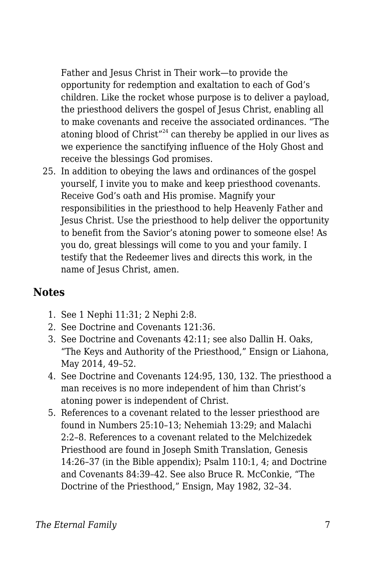Father and Jesus Christ in Their work—to provide the opportunity for redemption and exaltation to each of God's children. Like the rocket whose purpose is to deliver a payload, the priesthood delivers the gospel of Jesus Christ, enabling all to make covenants and receive the associated ordinances. "The atoning blood of Christ $^{124}$  can thereby be applied in our lives as we experience the sanctifying influence of the Holy Ghost and receive the blessings God promises.

25. In addition to obeying the laws and ordinances of the gospel yourself, I invite you to make and keep priesthood covenants. Receive God's oath and His promise. Magnify your responsibilities in the priesthood to help Heavenly Father and Jesus Christ. Use the priesthood to help deliver the opportunity to benefit from the Savior's atoning power to someone else! As you do, great blessings will come to you and your family. I testify that the Redeemer lives and directs this work, in the name of Jesus Christ, amen.

## **Notes**

- 1. See 1 Nephi 11:31; 2 Nephi 2:8.
- 2. See Doctrine and Covenants 121:36.
- 3. See Doctrine and Covenants 42:11; see also Dallin H. Oaks, "The Keys and Authority of the Priesthood," Ensign or Liahona, May 2014, 49–52.
- 4. See Doctrine and Covenants 124:95, 130, 132. The priesthood a man receives is no more independent of him than Christ's atoning power is independent of Christ.
- 5. References to a covenant related to the lesser priesthood are found in Numbers 25:10–13; Nehemiah 13:29; and Malachi 2:2–8. References to a covenant related to the Melchizedek Priesthood are found in Joseph Smith Translation, Genesis 14:26–37 (in the Bible appendix); Psalm 110:1, 4; and Doctrine and Covenants 84:39–42. See also Bruce R. McConkie, "The Doctrine of the Priesthood," Ensign, May 1982, 32–34.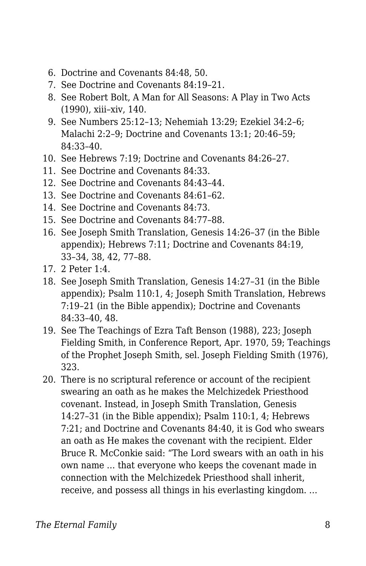- 6. Doctrine and Covenants 84:48, 50.
- 7. See Doctrine and Covenants 84:19–21.
- 8. See Robert Bolt, A Man for All Seasons: A Play in Two Acts (1990), xiii–xiv, 140.
- 9. See Numbers 25:12–13; Nehemiah 13:29; Ezekiel 34:2–6; Malachi 2:2–9; Doctrine and Covenants 13:1; 20:46–59; 84:33–40.
- 10. See Hebrews 7:19; Doctrine and Covenants 84:26–27.
- 11. See Doctrine and Covenants 84:33.
- 12. See Doctrine and Covenants 84:43–44.
- 13. See Doctrine and Covenants 84:61–62.
- 14. See Doctrine and Covenants 84:73.
- 15. See Doctrine and Covenants 84:77–88.
- 16. See Joseph Smith Translation, Genesis 14:26–37 (in the Bible appendix); Hebrews 7:11; Doctrine and Covenants 84:19, 33–34, 38, 42, 77–88.
- 17. 2 Peter 1:4.
- 18. See Joseph Smith Translation, Genesis 14:27–31 (in the Bible appendix); Psalm 110:1, 4; Joseph Smith Translation, Hebrews 7:19–21 (in the Bible appendix); Doctrine and Covenants 84:33–40, 48.
- 19. See The Teachings of Ezra Taft Benson (1988), 223; Joseph Fielding Smith, in Conference Report, Apr. 1970, 59; Teachings of the Prophet Joseph Smith, sel. Joseph Fielding Smith (1976), 323.
- 20. There is no scriptural reference or account of the recipient swearing an oath as he makes the Melchizedek Priesthood covenant. Instead, in Joseph Smith Translation, Genesis 14:27–31 (in the Bible appendix); Psalm 110:1, 4; Hebrews 7:21; and Doctrine and Covenants 84:40, it is God who swears an oath as He makes the covenant with the recipient. Elder Bruce R. McConkie said: "The Lord swears with an oath in his own name … that everyone who keeps the covenant made in connection with the Melchizedek Priesthood shall inherit, receive, and possess all things in his everlasting kingdom. …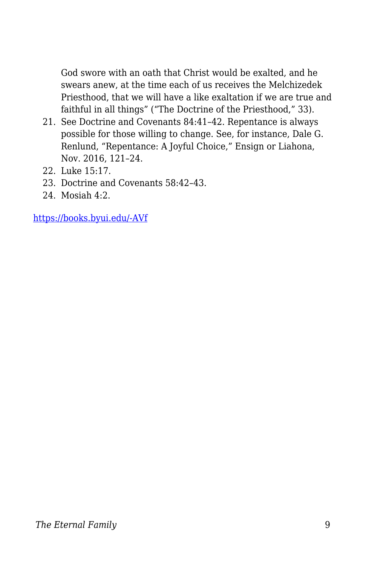God swore with an oath that Christ would be exalted, and he swears anew, at the time each of us receives the Melchizedek Priesthood, that we will have a like exaltation if we are true and faithful in all things" ("The Doctrine of the Priesthood," 33).

- 21. See Doctrine and Covenants 84:41–42. Repentance is always possible for those willing to change. See, for instance, Dale G. Renlund, "Repentance: A Joyful Choice," Ensign or Liahona, Nov. 2016, 121–24.
- 22. Luke 15:17.
- 23. Doctrine and Covenants 58:42–43.
- 24. Mosiah 4:2.

[https://books.byui.edu/-AVf](https://www.churchofjesuschrist.org/study/general-conference/2017/10/the-priesthood-and-the-saviors-atoning-power?lang=eng)